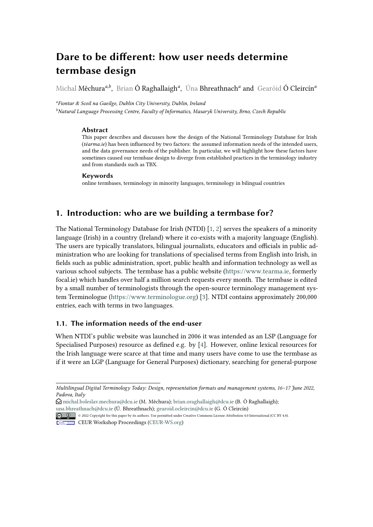# **Dare to be different: how user needs determine termbase design**

Michal Měchura<sup>a,b</sup>, Brian Ó Raghallaigh<sup>a</sup>, Úna Bhreathnach<sup>a</sup> and Gearóid Ó Cleircín<sup>a</sup>

*a Fiontar & Scoil na Gaeilge, Dublin City University, Dublin, Ireland*

*<sup>b</sup>Natural Language Processing Centre, Faculty of Informatics, Masaryk University, Brno, Czech Republic*

#### **Abstract**

This paper describes and discusses how the design of the National Terminology Database for Irish (*téarma.ie*) has been influenced by two factors: the assumed information needs of the intended users, and the data governance needs of the publisher. In particular, we will highlight how these factors have sometimes caused our termbase design to diverge from established practices in the terminology industry and from standards such as TBX.

#### **Keywords**

online termbases, terminology in minority languages, terminology in bilingual countries

## **1. Introduction: who are we building a termbase for?**

The National Terminology Database for Irish (NTDI) [\[1,](#page-3-0) [2\]](#page-3-1) serves the speakers of a minority language (Irish) in a country (Ireland) where it co-exists with a majority language (English). The users are typically translators, bilingual journalists, educators and officials in public administration who are looking for translations of specialised terms from English into Irish, in fields such as public administration, sport, public health and information technology as well as various school subjects. The termbase has a public website [\(https://www.tearma.ie,](https://www.tearma.ie) formerly focal.ie) which handles over half a million search requests every month. The termbase is edited by a small number of terminologists through the open-source terminology management system Terminologue [\(https://www.terminologue.org\)](https://www.terminologue.org) [\[3\]](#page-3-2). NTDI contains approximately 200,000 entries, each with terms in two languages.

#### **1.1. The information needs of the end-user**

When NTDI's public website was launched in 2006 it was intended as an LSP (Language for Specialised Purposes) resource as defined e.g. by [\[4\]](#page-4-0). However, online lexical resources for the Irish language were scarce at that time and many users have come to use the termbase as if it were an LGP (Language for General Purposes) dictionary, searching for general-purpose

*Multilingual Digital Terminology Today: Design, representation formats and management systems, 16–17 June 2022, Padova, Italy*

 $\Theta$ [michal.boleslav.mechura@dcu.ie](mailto:michal.boleslav.mechura@dcu.ie) (M. Měchura); [brian.oraghallaigh@dcu.ie](mailto:brian.oraghallaigh@dcu.ie) (B. Ó Raghallaigh); [una.bhreathnach@dcu.ie](mailto:una.bhreathnach@dcu.ie) (Ú. Bhreathnach); [gearoid.ocleircin@dcu.ie](mailto:gearoid.ocleircin@dcu.ie) (G. Ó Cleircín)

<sup>© 2022</sup> Copyright for this paper by its authors. Use permitted under Creative Commons License Attribution 4.0 International (CC BY 4.0).

CEUR Workshop [Proceedings](http://ceur-ws.org) [\(CEUR-WS.org\)](http://ceur-ws.org)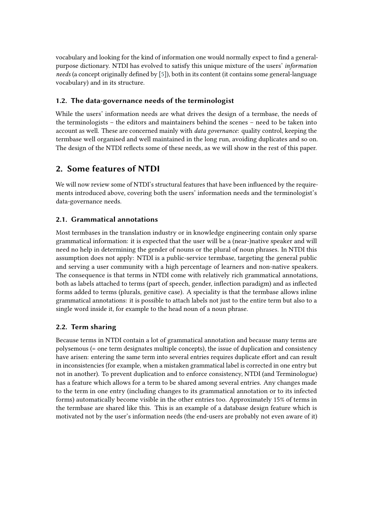vocabulary and looking for the kind of information one would normally expect to find a generalpurpose dictionary. NTDI has evolved to satisfy this unique mixture of the users' *information needs* (a concept originally defined by [\[5\]](#page-4-1)), both in its content (it contains some general-language vocabulary) and in its structure.

### **1.2. The data-governance needs of the terminologist**

While the users' information needs are what drives the design of a termbase, the needs of the terminologists – the editors and maintainers behind the scenes – need to be taken into account as well. These are concerned mainly with *data governance*: quality control, keeping the termbase well organised and well maintained in the long run, avoiding duplicates and so on. The design of the NTDI reflects some of these needs, as we will show in the rest of this paper.

# **2. Some features of NTDI**

We will now review some of NTDI's structural features that have been influenced by the requirements introduced above, covering both the users' information needs and the terminologist's data-governance needs.

## **2.1. Grammatical annotations**

Most termbases in the translation industry or in knowledge engineering contain only sparse grammatical information: it is expected that the user will be a (near-)native speaker and will need no help in determining the gender of nouns or the plural of noun phrases. In NTDI this assumption does not apply: NTDI is a public-service termbase, targeting the general public and serving a user community with a high percentage of learners and non-native speakers. The consequence is that terms in NTDI come with relatively rich grammatical annotations, both as labels attached to terms (part of speech, gender, inflection paradigm) and as inflected forms added to terms (plurals, genitive case). A speciality is that the termbase allows inline grammatical annotations: it is possible to attach labels not just to the entire term but also to a single word inside it, for example to the head noun of a noun phrase.

## **2.2. Term sharing**

Because terms in NTDI contain a lot of grammatical annotation and because many terms are polysemous (= one term designates multiple concepts), the issue of duplication and consistency have arisen: entering the same term into several entries requires duplicate effort and can result in inconsistencies (for example, when a mistaken grammatical label is corrected in one entry but not in another). To prevent duplication and to enforce consistency, NTDI (and Terminologue) has a feature which allows for a term to be shared among several entries. Any changes made to the term in one entry (including changes to its grammatical annotation or to its infected forms) automatically become visible in the other entries too. Approximately 15% of terms in the termbase are shared like this. This is an example of a database design feature which is motivated not by the user's information needs (the end-users are probably not even aware of it)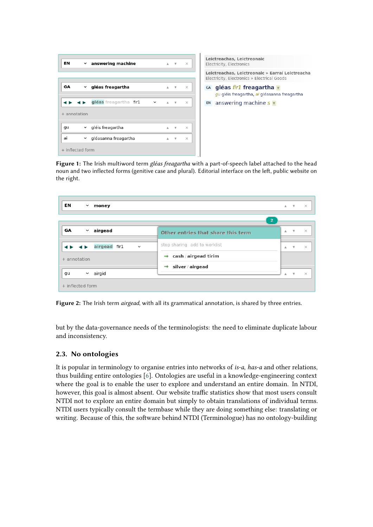| ΕN               | $\checkmark$ | answering machine        |              | $\Delta$ | $\overline{\mathbf{v}}$ | $\times$ |
|------------------|--------------|--------------------------|--------------|----------|-------------------------|----------|
|                  |              |                          |              |          |                         |          |
| GA               | $\checkmark$ | gléas freagartha         |              | A        | v                       | $\times$ |
|                  |              | ◀▶ gléas freagartha fir1 | $\checkmark$ | $\Delta$ | $\overline{\mathbf{v}}$ | $\times$ |
| + annotation     |              |                          |              |          |                         |          |
| gu               |              | v gléis freagartha       |              | A        | v                       | $\times$ |
| ai               | $\checkmark$ | gléasanna freagartha     |              | A        | $\overline{\mathbf{v}}$ | $\times$ |
| + inflected form |              |                          |              |          |                         |          |

Leictreachas, Leictreonaic Electricity, Electronics Leictreachas, Leictreonaic » Earraí Leictreacha Electricity, Electronics » Electrical Goods GA gléas fir1 freagartha gu gléis freagartha, ai gléasanna freagartha EN answering machine  $s \triangledown$ 

**Figure 1:** The Irish multiword term *gléas freagartha* with a part-of-speech label attached to the head noun and two inflected forms (genitive case and plural). Editorial interface on the left, public website on the right.

| EN<br>$\checkmark$<br>money   |                                    |    | $A - V$               | $\times$           |
|-------------------------------|------------------------------------|----|-----------------------|--------------------|
|                               | $\overline{2}$                     |    |                       |                    |
| GA<br>airgead<br>$\checkmark$ | Other entries that share this term | А. | $\quad$ $\quad$       | $\mathord{\times}$ |
| airgead fir1<br>$\checkmark$  | stop sharing add to worklist       |    | $A$ $\forall$         | $\times$           |
| + annotation                  | $\Rightarrow$ cash / airgead tirim |    |                       |                    |
| airgid<br>gu<br>$\checkmark$  | silver / airgead<br>$\Rightarrow$  |    | $\boldsymbol{\nabla}$ | $\times$           |
| + inflected form              |                                    |    |                       |                    |

**Figure 2:** The Irish term *airgead*, with all its grammatical annotation, is shared by three entries.

but by the data-governance needs of the terminologists: the need to eliminate duplicate labour and inconsistency.

#### **2.3. No ontologies**

It is popular in terminology to organise entries into networks of *is-a*, *has-a* and other relations, thus building entire ontologies [\[6\]](#page-4-2). Ontologies are useful in a knowledge-engineering context where the goal is to enable the user to explore and understand an entire domain. In NTDI, however, this goal is almost absent. Our website traffic statistics show that most users consult NTDI not to explore an entire domain but simply to obtain translations of individual terms. NTDI users typically consult the termbase while they are doing something else: translating or writing. Because of this, the software behind NTDI (Terminologue) has no ontology-building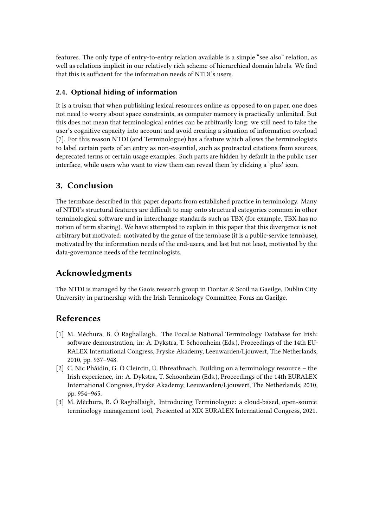features. The only type of entry-to-entry relation available is a simple "see also" relation, as well as relations implicit in our relatively rich scheme of hierarchical domain labels. We find that this is sufficient for the information needs of NTDI's users.

#### **2.4. Optional hiding of information**

It is a truism that when publishing lexical resources online as opposed to on paper, one does not need to worry about space constraints, as computer memory is practically unlimited. But this does not mean that terminological entries can be arbitrarily long: we still need to take the user's cognitive capacity into account and avoid creating a situation of information overload [\[7\]](#page-4-3). For this reason NTDI (and Terminologue) has a feature which allows the terminologists to label certain parts of an entry as non-essential, such as protracted citations from sources, deprecated terms or certain usage examples. Such parts are hidden by default in the public user interface, while users who want to view them can reveal them by clicking a 'plus' icon.

# **3. Conclusion**

The termbase described in this paper departs from established practice in terminology. Many of NTDI's structural features are difficult to map onto structural categories common in other terminological software and in interchange standards such as TBX (for example, TBX has no notion of term sharing). We have attempted to explain in this paper that this divergence is not arbitrary but motivated: motivated by the genre of the termbase (it is a public-service termbase), motivated by the information needs of the end-users, and last but not least, motivated by the data-governance needs of the terminologists.

# **Acknowledgments**

The NTDI is managed by the Gaois research group in Fiontar & Scoil na Gaeilge, Dublin City University in partnership with the Irish Terminology Committee, Foras na Gaeilge.

# **References**

- <span id="page-3-0"></span>[1] M. Měchura, B. Ó Raghallaigh, The Focal.ie National Terminology Database for Irish: software demonstration, in: A. Dykstra, T. Schoonheim (Eds.), Proceedings of the 14th EU-RALEX International Congress, Fryske Akademy, Leeuwarden/Ljouwert, The Netherlands, 2010, pp. 937–948.
- <span id="page-3-1"></span>[2] C. Nic Pháidín, G. Ó Cleircín, Ú. Bhreathnach, Building on a terminology resource – the Irish experience, in: A. Dykstra, T. Schoonheim (Eds.), Proceedings of the 14th EURALEX International Congress, Fryske Akademy, Leeuwarden/Ljouwert, The Netherlands, 2010, pp. 954–965.
- <span id="page-3-2"></span>[3] M. Měchura, B. Ó Raghallaigh, Introducing Terminologue: a cloud-based, open-source terminology management tool, Presented at XIX EURALEX International Congress, 2021.